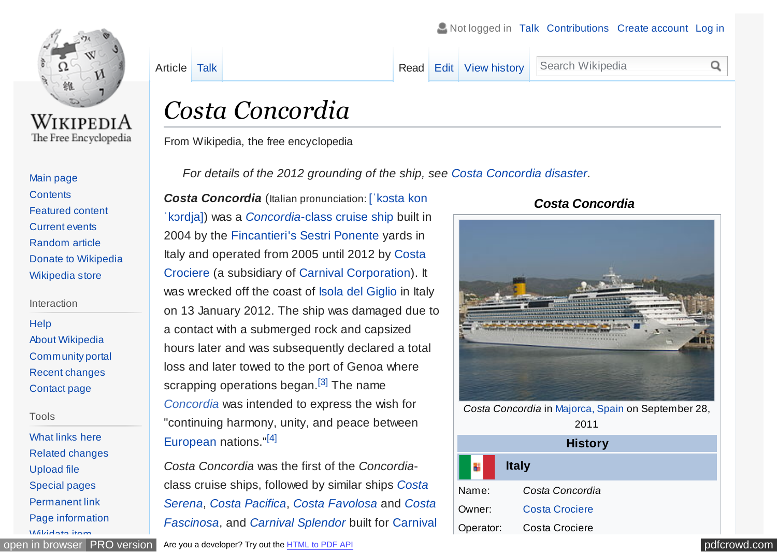<span id="page-0-0"></span>

WikipediA The Free Encyclopedia

#### [Main page](https://en.wikipedia.org/wiki/Main_Page) **[Contents](https://en.wikipedia.org/wiki/Portal:Contents)** [Featured content](https://en.wikipedia.org/wiki/Portal:Featured_content) [Current events](https://en.wikipedia.org/wiki/Portal:Current_events) [Random article](https://en.wikipedia.org/wiki/Special:Random) [Donate to Wikipedia](https://donate.wikimedia.org/wiki/Special:FundraiserRedirector?utm_source=donate&utm_medium=sidebar&utm_campaign=C13_en.wikipedia.org&uselang=en) [Wikipedia store](https://shop.wikimedia.org/)

#### Interaction

**[Help](https://en.wikipedia.org/wiki/Help:Contents)** [About Wikipedia](https://en.wikipedia.org/wiki/Wikipedia:About) [Community portal](https://en.wikipedia.org/wiki/Wikipedia:Community_portal) [Recent changes](https://en.wikipedia.org/wiki/Special:RecentChanges) [Contact page](https://en.wikipedia.org/wiki/Wikipedia:Contact_us)

#### Tools

[What links here](https://en.wikipedia.org/wiki/Special:WhatLinksHere/Costa_Concordia) [Related changes](https://en.wikipedia.org/wiki/Special:RecentChangesLinked/Costa_Concordia) [Upload file](https://en.wikipedia.org/wiki/Wikipedia:File_Upload_Wizard) [Special pages](https://en.wikipedia.org/wiki/Special:SpecialPages) [Permanent link](https://en.wikipedia.org/w/index.php?title=Costa_Concordia&oldid=789691237) [Page information](https://en.wikipedia.org/w/index.php?title=Costa_Concordia&action=info) [Wikidata item](https://www.wikidata.org/wiki/Special:EntityPage/Q190542)

[Article](https://en.wikipedia.org/wiki/Costa_Concordia) [Talk](https://en.wikipedia.org/wiki/Talk:Costa_Concordia) **Talk [Read](https://en.wikipedia.org/wiki/Costa_Concordia) [Edit](https://en.wikipedia.org/w/index.php?title=Costa_Concordia&action=edit) [View history](https://en.wikipedia.org/w/index.php?title=Costa_Concordia&action=history) Search Wikipedia** 

#### $\Omega$

# *Costa Concordia*

From Wikipedia, the free encyclopedia

*For details of the 2012 grounding of the ship, see [Costa Concordia disaster.](https://en.wikipedia.org/wiki/Costa_Concordia_disaster)*

*[Costa Concordia](https://en.wikipedia.org/wiki/Help:IPA_for_Italian)* (Italian pronunciation: [ˈkɔsta kon ˈkɔrdja]) was a *[Concordia](https://en.wikipedia.org/wiki/Concordia-class_cruise_ship)*-class [cruise ship](https://en.wikipedia.org/wiki/Cruise_ship) built in 2004 by the [Fincantieri's](https://en.wikipedia.org/wiki/Fincantieri) [Sestri Ponente](https://en.wikipedia.org/wiki/Sestri_Ponente) yards in Italy and operated from 2005 until 2012 by Costa [Crociere \(a subsidiary of](https://en.wikipedia.org/wiki/Costa_Crociere) [Carnival Corporation](https://en.wikipedia.org/wiki/Carnival_Corporation_%26_plc)[\). It](https://en.wikipedia.org/wiki/Costa_Crociere) was wrecked off the coast of [Isola del Giglio](https://en.wikipedia.org/wiki/Isola_del_Giglio) in Italy on 13 January 2012. The ship was damaged due to a contact with a submerged rock and capsized hours later and was subsequently declared a total loss and later towed to the port of Genoa where scrapping operations began.<sup>[\[3\]](#page-10-0)</sup> The name *[Concordia](https://en.wiktionary.org/wiki/concordia)* was intended to express the wish for "continuing harmony, unity, and peace between [European](https://en.wikipedia.org/wiki/Europe) nations."[\[4\]](#page-10-0)

*Costa Concordia* was the first of the *Concordia*[class cruise ships, followed by similar ships](https://en.wikipedia.org/wiki/Costa_Serena) *Costa Serena*, *[Costa Pacifica](https://en.wikipedia.org/wiki/Costa_Pacifica)*, *[Costa Favolosa](https://en.wikipedia.org/wiki/Costa_Favolosa)* and *Costa Fascinosa*, and *[Carnival Splendor](https://en.wikipedia.org/wiki/Carnival_Splendor)* built for Carnival

#### [open in browser](http://pdfcrowd.com/redirect/?url=https%3a%2f%2fen.wikipedia.org%2fwiki%2fCosta_Concordia&id=ma-170716205740-37932e88) [PRO version](http://pdfcrowd.com/customize/) [Are you a developer? Try out the](https://en.wikipedia.org/wiki/Carnival_Cruise_Lines) [HTML to PDF API](http://pdfcrowd.com/html-to-pdf-api/?ref=pdf) produce the example of the state of the API [pdfcrowd.com](http://pdfcrowd.com)

#### *Costa Concordia*



*Costa Concordia* in [Majorca, Spain](https://en.wikipedia.org/wiki/Majorca,_Spain) on September 28, 2011

| <b>History</b> |                       |  |  |  |
|----------------|-----------------------|--|--|--|
|                | <b>Italy</b>          |  |  |  |
| Name:          | Costa Concordia       |  |  |  |
| Owner:         | <b>Costa Crociere</b> |  |  |  |
| Operator:      | Costa Crociere        |  |  |  |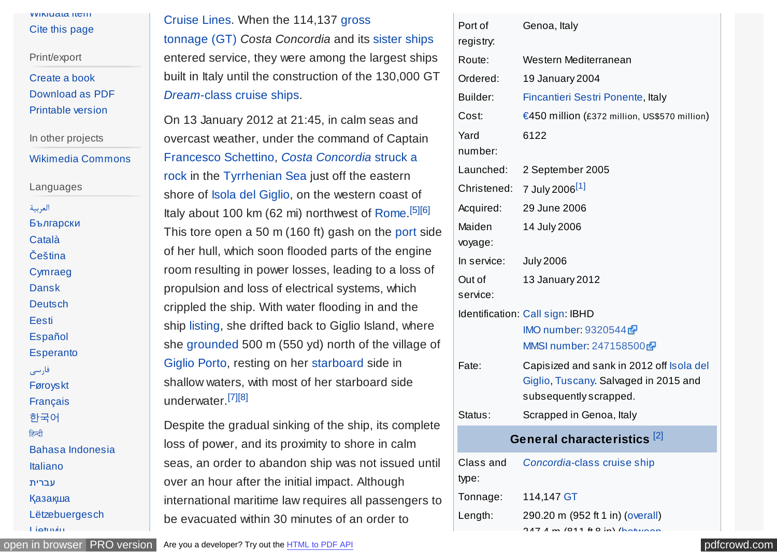#### <span id="page-1-0"></span>[Wikidata item](https://www.wikidata.org/wiki/Special:EntityPage/Q190542) [Cite this page](https://en.wikipedia.org/w/index.php?title=Special:CiteThisPage&page=Costa_Concordia&id=789691237)

Print/export

[Create a book](https://en.wikipedia.org/w/index.php?title=Special:Book&bookcmd=book_creator&referer=Costa+Concordia) [Download as PDF](https://en.wikipedia.org/w/index.php?title=Special:ElectronPdf&page=Costa+Concordia&action=show-selection-screen&coll-download-url=%2Fw%2Findex.php%3Ftitle%3DSpecial%3ABook%26bookcmd%3Drender_article%26arttitle%3DCosta%2BConcordia%26returnto%3DCosta%2BConcordia%26oldid%3D789691237%26writer%3Drdf2latex) [Printable version](https://en.wikipedia.org/w/index.php?title=Costa_Concordia&printable=yes)

In other projects

[Wikimedia Commons](https://commons.wikimedia.org/wiki/Category:Costa_Concordia_(ship,_2006))

Languages [العربیة](https://ar.wikipedia.org/wiki/%D9%83%D9%88%D8%B3%D8%AA%D8%A7_%D9%83%D9%88%D9%86%D9%83%D9%88%D8%B1%D8%AF%D9%8A%D8%A7) [Български](https://bg.wikipedia.org/wiki/%D0%9A%D0%BE%D1%81%D1%82%D0%B0_%D0%9A%D0%BE%D0%BD%D0%BA%D0%BE%D1%80%D0%B4%D0%B8%D1%8F) [Català](https://ca.wikipedia.org/wiki/Costa_Concordia) [Čeština](https://cs.wikipedia.org/wiki/Costa_Concordia) **[Cymraeg](https://cy.wikipedia.org/wiki/Costa_Concordia)** [Dansk](https://da.wikipedia.org/wiki/Costa_Concordia) **[Deutsch](https://de.wikipedia.org/wiki/Costa_Concordia)** [Eesti](https://et.wikipedia.org/wiki/Costa_Concordia) [Español](https://es.wikipedia.org/wiki/Costa_Concordia) **[Esperanto](https://eo.wikipedia.org/wiki/Costa_Concordia)** [فارسی](https://fa.wikipedia.org/wiki/%DA%A9%D8%A7%D8%B3%D8%AA%D8%A7_%DA%A9%D9%86%DA%A9%D9%88%D8%B1%D8%AF%DB%8C%D8%A7) [Føroyskt](https://fo.wikipedia.org/wiki/Costa_Concordia) [Français](https://fr.wikipedia.org/wiki/Costa_Concordia) [한국어](https://ko.wikipedia.org/wiki/%EC%BD%94%EC%8A%A4%ED%83%80_%EC%BD%98%EC%BD%94%EB%A5%B4%EB%94%94%EC%95%84%ED%98%B8) हिन्दी [Bahasa Indonesia](https://id.wikipedia.org/wiki/Costa_Concordia) [Italiano](https://it.wikipedia.org/wiki/Costa_Concordia) [עברית](https://he.wikipedia.org/wiki/%D7%A7%D7%95%D7%A1%D7%98%D7%94_%D7%A7%D7%95%D7%A0%D7%A7%D7%95%D7%A8%D7%93%D7%99%D7%94)

[Қазақша](https://kk.wikipedia.org/wiki/Costa_Concordia)

[Lietuvių](https://lt.wikipedia.org/wiki/Costa_Concordia)

[Lëtzebuergesch](https://lb.wikipedia.org/wiki/Costa_Concordia)

[Cruise Lines. When the 114,137 gross](https://en.wikipedia.org/wiki/Gross_tonnage)

tonnage (GT) *Costa Concordia* and its [sister ships](https://en.wikipedia.org/wiki/Sister_ship) entered service, they were among the largest ships built in Italy until the construction of the 130,000 GT *Dream*[-class cruise ships.](https://en.wikipedia.org/wiki/Dream-class_cruise_ship)

On 13 January 2012 at 21:45, in calm seas and overcast weather, under the command of Captain [Francesco Schettino,](https://en.wikipedia.org/wiki/Francesco_Schettino) *Costa Concordia* struck a [rock in the](https://en.wikipedia.org/wiki/Costa_Concordia_disaster) [Tyrrhenian Sea](https://en.wikipedia.org/wiki/Tyrrhenian_Sea) [just off the eastern](https://en.wikipedia.org/wiki/Costa_Concordia_disaster) shore of [Isola del Giglio,](https://en.wikipedia.org/wiki/Isola_del_Giglio) on the western coast of Italy about 100 km (62 mi) northwest of [Rome.](https://en.wikipedia.org/wiki/Rome) [\[5\]\[6\]](#page-10-0) This tore open a 50 m (160 ft) gash on the [port](https://en.wikipedia.org/wiki/Port_and_starboard) side of her hull, which soon flooded parts of the engine room resulting in power losses, leading to a loss of propulsion and loss of electrical systems, which crippled the ship. With water flooding in and the ship [listing,](https://en.wikipedia.org/wiki/List_(watercraft)) she drifted back to Giglio Island, where she [grounded](https://en.wikipedia.org/wiki/Ship_grounding) 500 m (550 yd) north of the village of [Giglio Porto,](https://en.wikipedia.org/wiki/Giglio_Porto) resting on her [starboard](https://en.wikipedia.org/wiki/Port_and_starboard) side in shallow waters, with most of her starboard side underwater.<sup>[\[7\]\[8\]](#page-10-0)</sup>

Despite the gradual sinking of the ship, its complete loss of power, and its proximity to shore in calm seas, an order to abandon ship was not issued until over an hour after the initial impact. Although international maritime law requires all passengers to be evacuated within 30 minutes of an order to

| Port of<br>registry: | Genoa, Italy                                 |
|----------------------|----------------------------------------------|
| Route:               | Western Mediterranean                        |
| Ordered:             | <b>19 January 2004</b>                       |
|                      |                                              |
| Builder:             | Fincantieri Sestri Ponente, Italy            |
| Cost:                | €450 million (£372 million, US\$570 million) |
| Yard                 | 6122                                         |
| number:              |                                              |
| Launched:            | 2 September 2005                             |
| Christened:          | 7 July 2006 <sup>[1]</sup>                   |
| Acquired:            | 29 June 2006                                 |
| Maiden               | 14 July 2006                                 |
| voyage:              |                                              |
| In service:          | <b>July 2006</b>                             |
| Out of               | 13 January 2012                              |
| service:             |                                              |
|                      | Identification: Call sign: IBHD              |
|                      | IMO number: 9320544                          |
|                      | MMSI number: 247158500                       |
| Fate:                | Capisized and sank in 2012 off Isola del     |
|                      | Giglio, Tuscany. Salvaged in 2015 and        |
|                      | subsequently scrapped.                       |
| Status:              | Scrapped in Genoa, Italy                     |
|                      | General characteristics <sup>[2]</sup>       |
| Class and<br>type:   | Concordia-class cruise ship                  |
| Tonnage:             | 114,147 GT                                   |
| Length:              | 290.20 m (952 ft 1 in) (overall)             |
|                      | $7.4 \text{ m}$ (011 $\#$ 0 in) (hot         |

[open in browser](http://pdfcrowd.com/redirect/?url=https%3a%2f%2fen.wikipedia.org%2fwiki%2fCosta_Concordia&id=ma-170716205740-37932e88) [PRO version](http://pdfcrowd.com/customize/) Are you a developer? Try out th[e HTML to PDF API](http://pdfcrowd.com/html-to-pdf-api/?ref=pdf) produce the example of the state of the state of the state of the state of the state of the state of the state of the state of the state of the s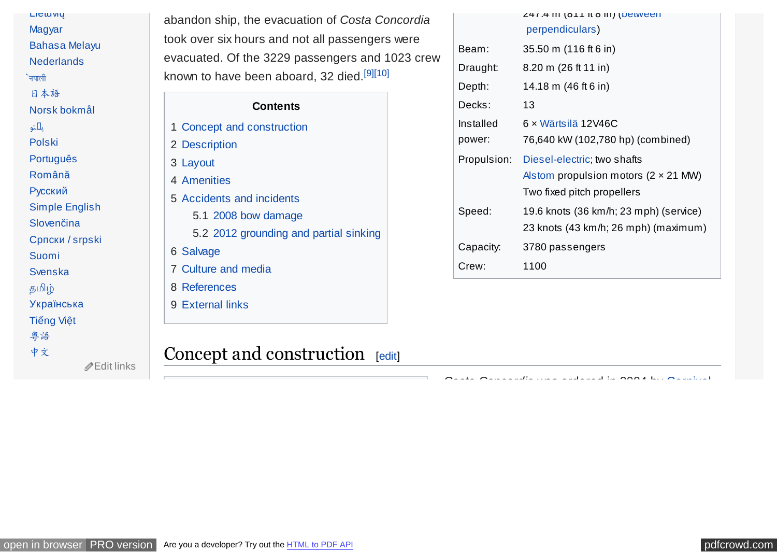<span id="page-2-0"></span>

| LICIUVIŲ              |
|-----------------------|
| Magyar                |
| <b>Bahasa Melayu</b>  |
| <b>Nederlands</b>     |
| नपाली                 |
| 日本語                   |
| Norsk bokmål          |
| يالتو                 |
| <b>Polski</b>         |
| Português             |
| Română                |
| Русский               |
| <b>Simple English</b> |
| Slovenčina            |
| Српски / srpski       |
| Suomi                 |
| <b>Svenska</b>        |
| தமிழ்                 |
| Українська            |
| <b>Tiếng Việt</b>     |
| 粤語                    |
| 中文                    |
| ホロ おは じゅしょ            |

abandon ship, the evacuation of *Costa Concordia* took over six hours and not all passengers were evacuated. Of the 3229 passengers and 1023 crew known to have been aboard, 32 died.<sup>[\[9\]\[10\]](#page-10-0)</sup>

#### **Contents**

- 1 Concept and construction
- 2 [Description](#page-3-0)
- 3 [Layout](#page-3-0)
- 4 [Amenities](#page-4-0)
- 5 [Accidents and incidents](#page-4-0)
	- 5.1 [2008 bow damage](#page-4-0)
	- 5.2 [2012 grounding and partial sinking](#page-5-0)
- 6 [Salvage](#page-7-0)
- 7 [Culture and media](#page-9-0)
- 8 [References](#page-10-0)
- 9 [External links](#page-14-0)

## Concept and construction [[edit\]](https://en.wikipedia.org/w/index.php?title=Costa_Concordia&action=edit§ion=1)

 $\mathscr Z$  [Edit links](https://www.wikidata.org/wiki/Special:EntityPage/Q190542#sitelinks-wikipedia)

| <b>47.4 III (911 III 6 III) (DELWEEII</b><br>perpendiculars)                                                     |
|------------------------------------------------------------------------------------------------------------------|
| 35.50 m (116 ft 6 in)                                                                                            |
| $8.20 \text{ m}$ (26 ft 11 in)                                                                                   |
| 14.18 m (46 ft 6 in)                                                                                             |
| 13                                                                                                               |
| 6 × Wärtsilä 12V46C                                                                                              |
| 76,640 kW (102,780 hp) (combined)                                                                                |
| Diesel-electric; two shafts<br>Alstom propulsion motors $(2 \times 21 \text{ MW})$<br>Two fixed pitch propellers |
| 19.6 knots (36 km/h; 23 mph) (service)<br>23 knots (43 km/h; 26 mph) (maximum)                                   |
| 3780 passengers                                                                                                  |
| 1100                                                                                                             |
|                                                                                                                  |

*Costa Concordia* [was ordered in 2004 by Carnival](https://en.wikipedia.org/wiki/Carnival_Corporation)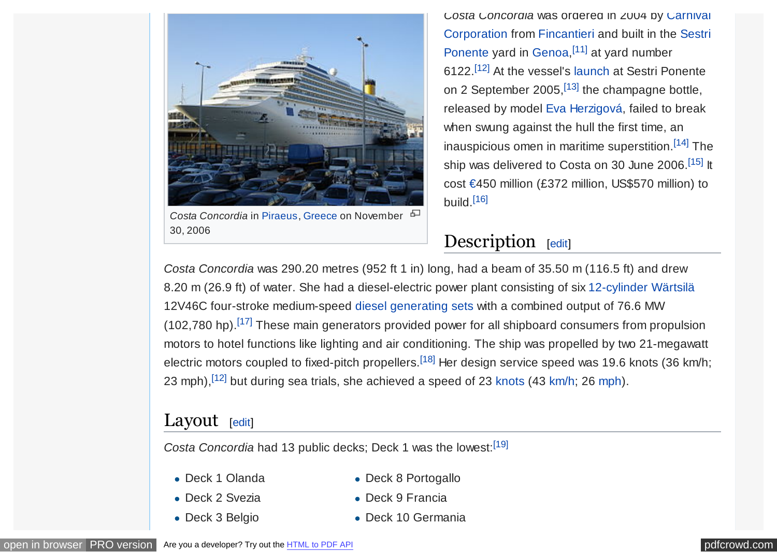<span id="page-3-0"></span>

*Costa Concordia* in [Piraeus,](https://en.wikipedia.org/wiki/Piraeus) [Greece](https://en.wikipedia.org/wiki/Greece) on November 30, 2006

*Costa Concordia* was ordered in 2004 by Carnival [Corporation from Fincantieri and built in the Sestri](https://en.wikipedia.org/wiki/Sestri_Ponente) Ponente yard in [Genoa,](https://en.wikipedia.org/wiki/Genoa)<sup>[\[11\]](#page-10-0)</sup> at yard number 6122.[\[12\]](#page-10-0) At the vessel's [launch](https://en.wikipedia.org/wiki/Ship_naming_and_launching) at Sestri Ponente on 2 September 2005,  $[13]$  the champagne bottle, released by model [Eva Herzigová,](https://en.wikipedia.org/wiki/Eva_Herzigov%C3%A1) failed to break when swung against the hull the first time, an inauspicious omen in maritime superstition.[\[14\]](#page-10-0) The ship was delivered to Costa on 30 June 2006.<sup>[\[15\]](#page-11-0)</sup> It cost [€4](https://en.wikipedia.org/wiki/Euro)50 million (£372 million, US\$570 million) to build. $[16]$ 

## Description [\[edit\]](https://en.wikipedia.org/w/index.php?title=Costa_Concordia&action=edit§ion=2)

*Costa Concordia* was 290.20 metres (952 ft 1 in) long, had a beam of 35.50 m (116.5 ft) and drew 8.20 m (26.9 ft) of water. She had a diesel-electric power plant consisting of six [12-cylinder](https://en.wikipedia.org/wiki/V12_engine) [Wärtsilä](https://en.wikipedia.org/wiki/W%C3%A4rtsil%C3%A4) 12V46C four-stroke medium-speed [diesel generating sets](https://en.wikipedia.org/wiki/Diesel_engine) with a combined output of 76.6 MW (102,780 hp).<sup>[\[17\]](#page-11-0)</sup> These main generators provided power for all shipboard consumers from propulsion motors to hotel functions like lighting and air conditioning. The ship was propelled by two 21-megawatt electric motors coupled to fixed-pitch propellers.<sup>[\[18\]](#page-11-0)</sup> Her design service speed was 19.6 knots (36 km/h; 23 [mph\)](https://en.wikipedia.org/wiki/Miles_per_hour),  $[12]$  but during sea trials, she achieved a speed of 23 [knots](https://en.wikipedia.org/wiki/Knot_(unit)) (43 [km/h;](https://en.wikipedia.org/wiki/Kilometres_per_hour) 26 mph).

### Layout [\[edit\]](https://en.wikipedia.org/w/index.php?title=Costa_Concordia&action=edit§ion=3)

Costa Concordia had 13 public decks; Deck 1 was the lowest:<sup>[\[19\]](#page-11-0)</sup>

Deck 1 Olanda

Deck 8 Portogallo

- Deck 2 Svezia
- Deck 3 Belgio

Deck 9 Francia Deck 10 Germania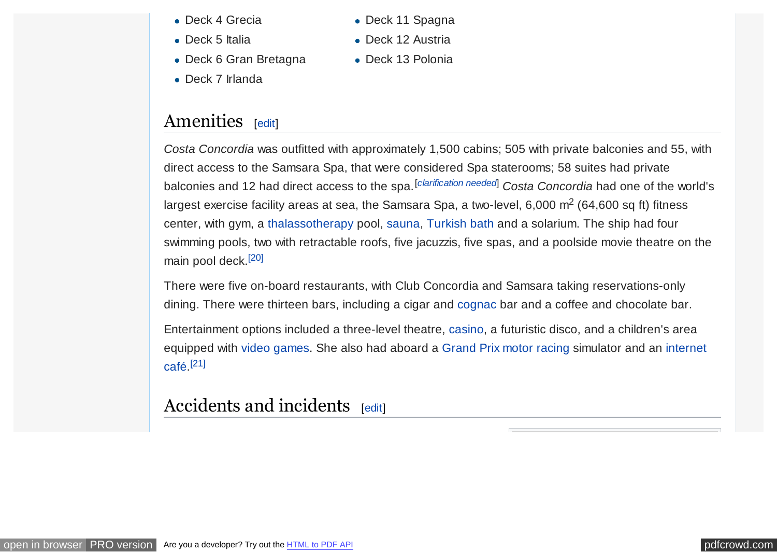<span id="page-4-0"></span>Deck 4 Grecia

• Deck 5 Italia

- Deck 11 Spagna
	- Deck 12 Austria

• Deck 13 Polonia

- Deck 6 Gran Bretagna
- Deck 7 Irlanda

## Amenities [[edit\]](https://en.wikipedia.org/w/index.php?title=Costa_Concordia&action=edit§ion=4)

*Costa Concordia* was outfitted with approximately 1,500 cabins; 505 with private balconies and 55, with direct access to the Samsara Spa, that were considered Spa staterooms; 58 suites had private balconies and 12 had direct access to the spa.[*[clarification needed](https://en.wikipedia.org/wiki/Wikipedia:Please_clarify)*] *Costa Concordia* had one of the world's largest exercise facility areas at sea, the Samsara Spa, a two-level, 6,000  $\text{m}^2$  (64,600 sq ft) fitness center, with gym, a [thalassotherapy](https://en.wikipedia.org/wiki/Thalassotherapy) pool, [sauna,](https://en.wikipedia.org/wiki/Sauna) [Turkish bath](https://en.wikipedia.org/wiki/Turkish_bath) and a solarium. The ship had four swimming pools, two with retractable roofs, five jacuzzis, five spas, and a poolside movie theatre on the main pool deck.[\[20\]](#page-11-0)

There were five on-board restaurants, with Club Concordia and Samsara taking reservations-only dining. There were thirteen bars, including a cigar and [cognac](https://en.wikipedia.org/wiki/Cognac_(brandy)) bar and a coffee and chocolate bar.

Entertainment options included a three-level theatre, [casino,](https://en.wikipedia.org/wiki/Casino) a futuristic disco, and a children's area [equipped with video games. She also had aboard a Grand Prix motor racing simulator and an internet](https://en.wikipedia.org/wiki/Internet_caf%C3%A9) café. [\[21\]](#page-11-0)

## Accidents and incidents [\[edit\]](https://en.wikipedia.org/w/index.php?title=Costa_Concordia&action=edit§ion=5)

[open in browser](http://pdfcrowd.com/redirect/?url=https%3a%2f%2fen.wikipedia.org%2fwiki%2fCosta_Concordia&id=ma-170716205740-37932e88) [PRO version](http://pdfcrowd.com/customize/) Are you a developer? Try out th[e HTML to PDF API](http://pdfcrowd.com/html-to-pdf-api/?ref=pdf) position and the ATML to PDF API position and the ATML to PDF API position and the ATML to PDF API position and the ATML to PDF API position and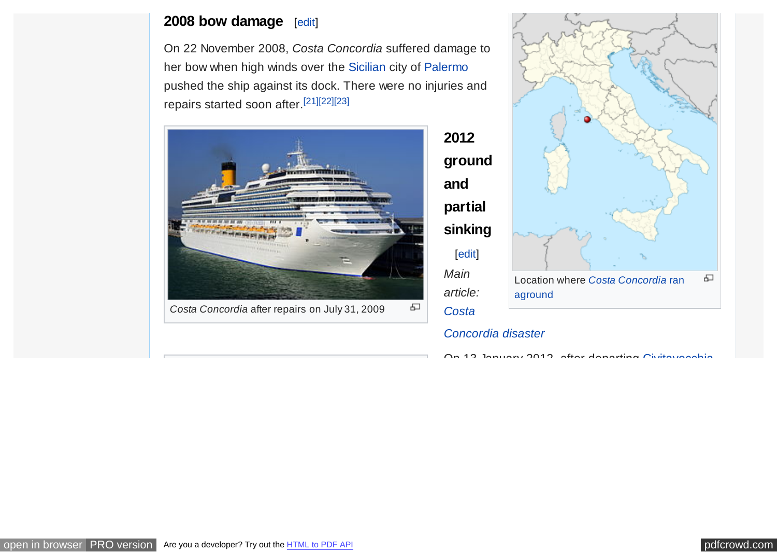#### <span id="page-5-0"></span>**2008 bow damage** [\[edit\]](https://en.wikipedia.org/w/index.php?title=Costa_Concordia&action=edit§ion=6)

On 22 November 2008, *Costa Concordia* suffered damage to her bow when high winds over the [Sicilian](https://en.wikipedia.org/wiki/Sicily) city of [Palermo](https://en.wikipedia.org/wiki/Palermo) pushed the ship against its dock. There were no injuries and repairs started soon after.[\[21\]\[22\]\[23\]](#page-11-0)





#### *[Concordia disaster](https://en.wikipedia.org/wiki/Costa_Concordia_disaster)*

**2012**

**and**

[\[edit\]](https://en.wikipedia.org/w/index.php?title=Costa_Concordia&action=edit§ion=7)

*Main*

*article:*

*Costa*

On 19 January 2012, after departing Civitavecchia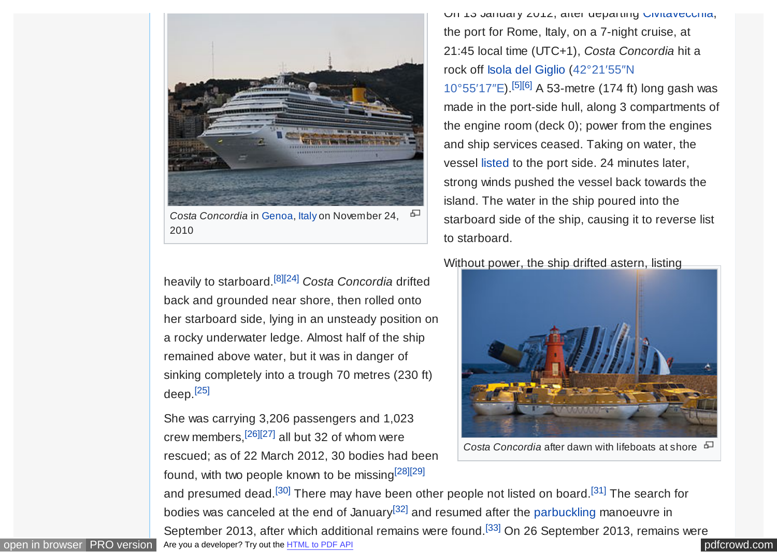<span id="page-6-0"></span>

*Costa Concordia* in [Genoa,](https://en.wikipedia.org/wiki/Genoa) [Italy](https://en.wikipedia.org/wiki/Italy) on November 24, ക 2010

heavily to starboard.[\[8\]](#page-10-0)[\[24\]](#page-11-0) *Costa Concordia* drifted back and grounded near shore, then rolled onto her starboard side, lying in an unsteady position on a rocky underwater ledge. Almost half of the ship remained above water, but it was in danger of sinking completely into a trough 70 metres (230 ft) deep.[\[25\]](#page-11-0)

She was carrying 3,206 passengers and 1,023 crew members,[\[26\]\[27\]](#page-11-0) all but 32 of whom were rescued; as of 22 March 2012, 30 bodies had been found, with two people known to be missing[\[28\]\[29\]](#page-11-0)

On 13 January 2012, after departing [Civitavecchia,](https://en.wikipedia.org/wiki/Civitavecchia) the port for Rome, Italy, on a 7-night cruise, at 21:45 local time (UTC+1), *Costa Concordia* hit a [rock off Isola del Giglio \(42°21′55″N](https://tools.wmflabs.org/geohack/geohack.php?pagename=Costa_Concordia¶ms=42_21_55_N_10_55_17_E_&title=Costa+Concordia+2012+grounding) 10°55′17″E).<sup>[\[5\]\[6\]](#page-10-0)</sup> A 53-metre (174 ft) long gash was made in the port-side hull, along 3 compartments of the engine room (deck 0); power from the engines and ship services ceased. Taking on water, the vessel [listed](https://en.wikipedia.org/wiki/List_(watercraft)) to the port side. 24 minutes later, strong winds pushed the vessel back towards the island. The water in the ship poured into the starboard side of the ship, causing it to reverse list to starboard.

Wi[thout power, the ship drifted astern, listing](https://en.wikipedia.org/wiki/File:Collision_of_Costa_Concordia_24.jpg)



*Costa Concordia* after dawn with lifeboats at shore

[open in browser](http://pdfcrowd.com/redirect/?url=https%3a%2f%2fen.wikipedia.org%2fwiki%2fCosta_Concordia&id=ma-170716205740-37932e88) [PRO version](http://pdfcrowd.com/customize/) Are you a developer? Try out th[e HTML to PDF API](http://pdfcrowd.com/html-to-pdf-api/?ref=pdf) [pdfcrowd.com](http://pdfcrowd.com) and presumed dead.<sup>[\[30\]](#page-11-0)</sup> There may have been other people not listed on board.<sup>[\[31\]](#page-12-0)</sup> The search for bodies was canceled at the end of January<sup>[\[32\]](#page-12-0)</sup> and resumed after the [parbuckling](https://en.wikipedia.org/wiki/Parbuckle_salvage) manoeuvre in September 2013, after which additional remains were found.<sup>[\[33\]](#page-12-0)</sup> On 26 September 2013, remains were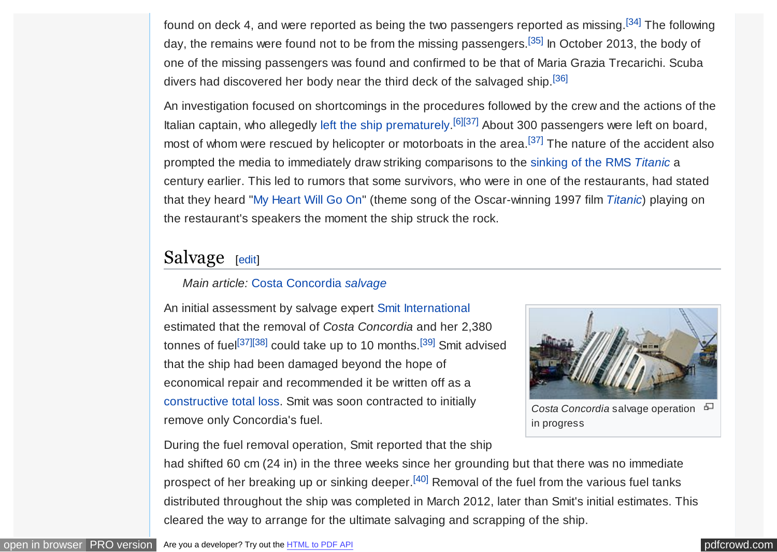<span id="page-7-0"></span>found on deck 4, and were reported as being the two passengers reported as missing.[\[34\]](#page-12-0) The following day, the remains were found not to be from the missing passengers.<sup>[\[35\]](#page-12-0)</sup> In October 2013, the body of one of the missing passengers was found and confirmed to be that of Maria Grazia Trecarichi. Scuba divers had discovered her body near the third deck of the salvaged ship.<sup>[\[36\]](#page-12-0)</sup>

An investigation focused on shortcomings in the procedures followed by the crew and the actions of the Italian captain, who allegedly [left the ship prematurely.](https://en.wikipedia.org/wiki/The_captain_goes_down_with_the_ship)<sup>[\[6\]](#page-10-0)[\[37\]](#page-12-0)</sup> About 300 passengers were left on board, most of whom were rescued by helicopter or motorboats in the area.<sup>[\[37\]](#page-12-0)</sup> The nature of the accident also prompted the media to immediately draw striking comparisons to the [sinking of the RMS](https://en.wikipedia.org/wiki/Sinking_of_the_RMS_Titanic) *Titanic* a century earlier. This led to rumors that some survivors, who were in one of the restaurants, had stated that they heard ["My Heart Will Go On"](https://en.wikipedia.org/wiki/My_Heart_Will_Go_On) (theme song of the Oscar-winning 1997 film *[Titanic](https://en.wikipedia.org/wiki/Titanic_(1997_film))*) playing on the restaurant's speakers the moment the ship struck the rock.

## Salvage [\[edit\]](https://en.wikipedia.org/w/index.php?title=Costa_Concordia&action=edit§ion=8)

#### *Main article:* [Costa Concordia](https://en.wikipedia.org/wiki/Costa_Concordia_disaster#Salvage) *salvage*

An initial assessment by salvage expert [Smit International](https://en.wikipedia.org/wiki/Smit_International) estimated that the removal of *Costa Concordia* and her 2,380 tonnes of fuel<sup>[\[37\]\[38\]](#page-12-0)</sup> could take up to 10 months.<sup>[\[39\]](#page-12-0)</sup> Smit advised that the ship had been damaged beyond the hope of economical repair and recommended it be written off as a [constructive total loss.](https://en.wikipedia.org/wiki/Constructive_total_loss) Smit was soon contracted to initially remove only Concordia's fuel.



*Costa Concordia* salvage operation in progress

During the fuel removal operation, Smit reported that the ship

had shifted 60 cm (24 in) in the three weeks since her grounding but that there was no immediate prospect of her breaking up or sinking deeper.<sup>[\[40\]](#page-12-0)</sup> Removal of the fuel from the various fuel tanks distributed throughout the ship was completed in March 2012, later than Smit's initial estimates. This cleared the way to arrange for the ultimate salvaging and scrapping of the ship.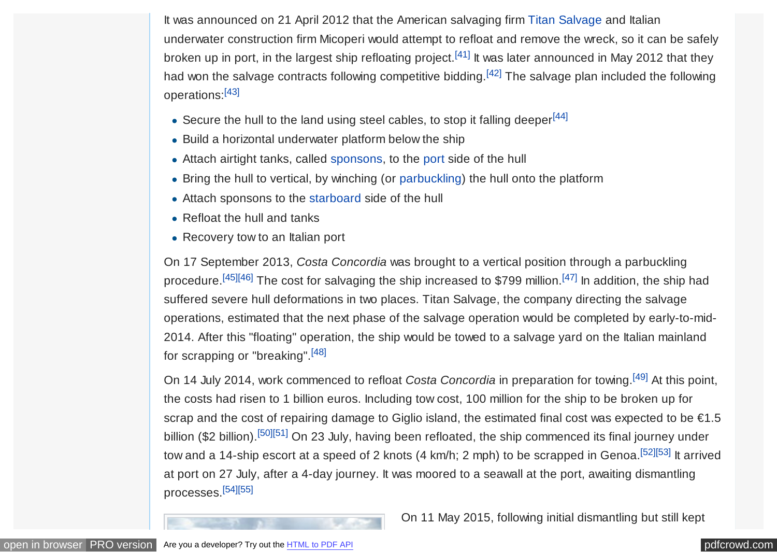<span id="page-8-0"></span>It was announced on 21 April 2012 that the American salvaging firm [Titan Salvage](https://en.wikipedia.org/wiki/Titan_salvage) and Italian underwater construction firm Micoperi would attempt to refloat and remove the wreck, so it can be safely broken up in port, in the largest ship refloating project.<sup>[\[41\]](#page-12-0)</sup> It was later announced in May 2012 that they had won the salvage contracts following competitive bidding.<sup>[\[42\]](#page-12-0)</sup> The salvage plan included the following operations:[\[43\]](#page-12-0)

- Secure the hull to the land using steel cables, to stop it falling deeper<sup>[\[44\]](#page-12-0)</sup>
- Build a horizontal underwater platform below the ship
- Attach airtight tanks, called [sponsons,](https://en.wikipedia.org/wiki/Sponson) to the [port](https://en.wikipedia.org/wiki/Port_and_starboard) side of the hull
- Bring the hull to vertical, by winching (or [parbuckling\)](https://en.wikipedia.org/wiki/Parbuckle_salvage) the hull onto the platform
- Attach sponsons to the [starboard](https://en.wikipedia.org/wiki/Port_and_starboard) side of the hull
- Refloat the hull and tanks
- Recovery tow to an Italian port

On 17 September 2013, *Costa Concordia* was brought to a vertical position through a parbuckling procedure.<sup>[\[45\]\[46\]](#page-12-0)</sup> The cost for salvaging the ship increased to \$799 million.<sup>[\[47\]](#page-13-0)</sup> In addition, the ship had suffered severe hull deformations in two places. Titan Salvage, the company directing the salvage operations, estimated that the next phase of the salvage operation would be completed by early-to-mid-2014. After this "floating" operation, the ship would be towed to a salvage yard on the Italian mainland for scrapping or "breaking".[\[48\]](#page-13-0)

On 14 July 2014, work commenced to refloat *Costa Concordia* in preparation for towing.[\[49\]](#page-13-0) At this point, the costs had risen to 1 billion euros. Including tow cost, 100 million for the ship to be broken up for scrap and the cost of repairing damage to Giglio island, the estimated final cost was expected to be €1.5 billion (\$2 billion).<sup>[\[50\]\[51\]](#page-13-0)</sup> On 23 July, having been refloated, the ship commenced its final journey under tow and a 14-ship escort at a speed of 2 knots (4 km/h; 2 mph) to be scrapped in Genoa.<sup>[\[52\]\[53\]](#page-13-0)</sup> It arrived at port on 27 July, after a 4-day journey. It was moored to a seawall at the port, awaiting dismantling processes.[\[54\]\[55\]](#page-13-0)

On 11 May 2015, following initial dismantling but still kept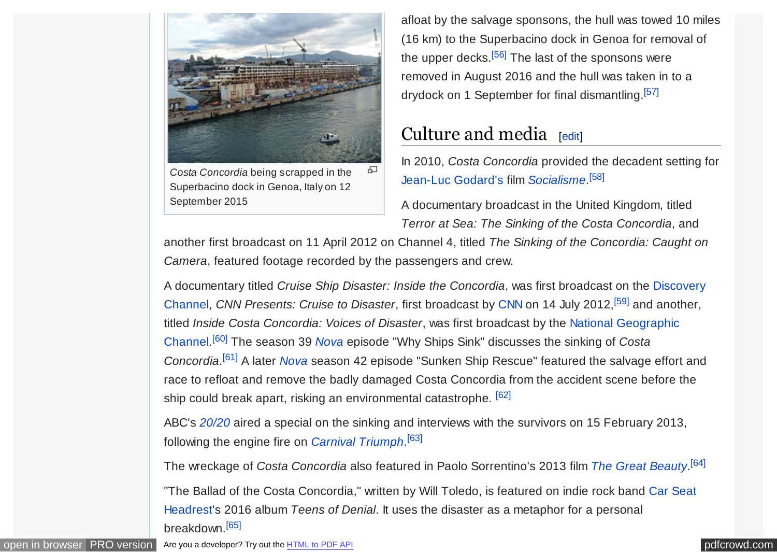<span id="page-9-0"></span>

*Costa Concordia* being scrapped in the Superbacino dock in Genoa, Italy on 12 September 2015

afloat by the salvage sponsons, the hull was towed 10 miles (16 km) to the Superbacino dock in Genoa for removal of the upper decks.<sup>[\[56\]](#page-13-0)</sup> The last of the sponsons were removed in August 2016 and the hull was taken in to a drydock on 1 September for final dismantling.[\[57\]](#page-13-0)

## Culture and media [\[edit\]](https://en.wikipedia.org/w/index.php?title=Costa_Concordia&action=edit§ion=9)

In 2010, *Costa Concordia* provided the decadent setting for [Jean-Luc Godard's](https://en.wikipedia.org/wiki/Jean-Luc_Godard) film *[Socialisme](https://en.wikipedia.org/wiki/Film_Socialisme)*. [\[58\]](#page-13-0)

A documentary broadcast in the United Kingdom, titled *Terror at Sea: The Sinking of the Costa Concordia*, and

another first broadcast on 11 April 2012 on Channel 4, titled *The Sinking of the Concordia: Caught on Camera*, featured footage recorded by the passengers and crew.

A documentary titled *[Cruise Ship Disaster: Inside the Concordia](https://en.wikipedia.org/wiki/Discovery_Channel)*, was first broadcast on the Discovery Channel, *CNN Presents: Cruise to Disaster*, first broadcast by [CNN](https://en.wikipedia.org/wiki/CNN) on 14 July 2012,[\[59\]](#page-13-0) and another, titled *Inside Costa Concordia: Voices of Disaster*, was first broadcast by the National Geographic Channel. [\[60\]](#page-13-0) The season 39 *[Nova](https://en.wikipedia.org/wiki/Nova_(TV_series))* [episode "Why Ships Sink" discusses the sinking of](https://en.wikipedia.org/wiki/National_Geographic_Channel) *Costa Concordia*. [\[61\]](#page-13-0) A later *[Nova](https://en.wikipedia.org/wiki/Nova_(TV_series))* season 42 episode "Sunken Ship Rescue" featured the salvage effort and race to refloat and remove the badly damaged Costa Concordia from the accident scene before the ship could break apart, risking an environmental catastrophe. [\[62\]](#page-13-0)

ABC's *[20/20](https://en.wikipedia.org/wiki/20/20_(U.S._TV_series))* aired a special on the sinking and interviews with the survivors on 15 February 2013, following the engine fire on *[Carnival Triumph](https://en.wikipedia.org/wiki/Carnival_Triumph)*. [\[63\]](#page-13-0)

The wreckage of *Costa Concordia* also featured in Paolo Sorrentino's 2013 film *[The Great Beauty](https://en.wikipedia.org/wiki/The_Great_Beauty)*. [\[64\]](#page-13-0)

["The Ballad of the Costa Concordia," written by Will Toledo, is featured on indie rock band Car Seat](https://en.wikipedia.org/wiki/Car_Seat_Headrest) Headrest's 2016 album *Teens of Denial*. It uses the disaster as a metaphor for a personal breakdown.[\[65\]](#page-14-0)

[open in browser](http://pdfcrowd.com/redirect/?url=https%3a%2f%2fen.wikipedia.org%2fwiki%2fCosta_Concordia&id=ma-170716205740-37932e88) [PRO version](http://pdfcrowd.com/customize/) Are you a developer? Try out th[e HTML to PDF API](http://pdfcrowd.com/html-to-pdf-api/?ref=pdf) position and the ATML to PDF API position and the ATML to PDF API position and the ATML to PDF API position and the ATML to PDF API position and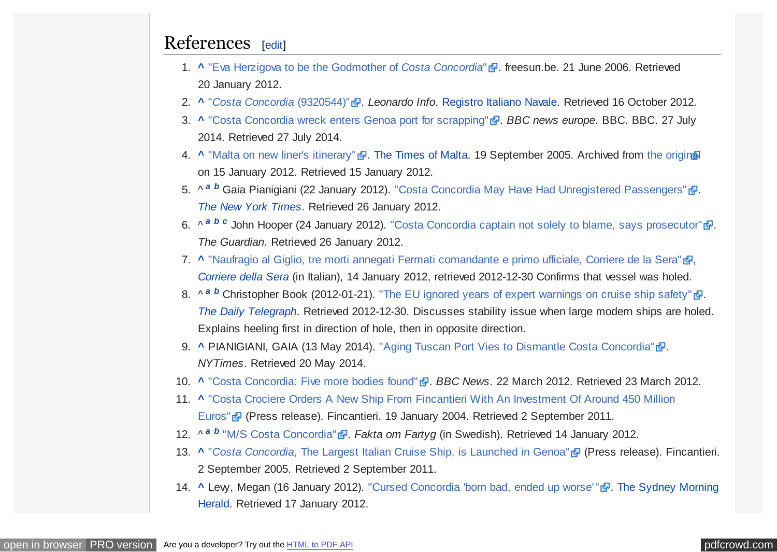#### <span id="page-10-0"></span>References [\[edit\]](https://en.wikipedia.org/w/index.php?title=Costa_Concordia&action=edit§ion=10)

- 1. **[^](#page-1-0)** ["Eva Herzigova to be the Godmother of](http://www.freesun.be/freesun_news/23_june_2006/costagodmother.html) *Costa Concordia*" . freesun.be. 21 June 2006. Retrieved 20 January 2012.
- 2. **[^](#page-1-0)** "*[Costa Concordia](https://www.leonardoinfo.com/leonardoInfo/LeoInfoLogInExternalServlet?ImoNum=9320544)* (9320544)" . *Leonardo Info*. [Registro Italiano Navale.](https://en.wikipedia.org/wiki/Registro_Italiano_Navale) Retrieved 16 October 2012.
- 3. **[^](#page-0-0)** ["Costa Concordia wreck enters Genoa port for scrapping"](http://www.bbc.co.uk/news/world-europe-28508387) . BBC news europe. BBC. BBC. 27 July 2014. Retrieved 27 July 2014.
- 4. **[^](#page-0-0)** ["Malta on new liner's itinerary"](http://www.webcitation.org/64hh6bzyK?url=http://www.timesofmalta.com/articles/view/20050919/local/malta-on-new-liners-itinerary.77802) . [The Times of Malta.](https://en.wikipedia.org/wiki/The_Times_(Malta)) 19 September 2005. Archived from [the original](http://www.timesofmalta.com/articles/view/20050919/local/malta-on-new-liners-itinerary.77802) on 15 January 2012. Retrieved 15 January 2012.
- 5. ^ <sup>[a](#page-1-0) *[b](#page-6-0)*</sup> Gaia Pianigiani (22 January 2012). ["Costa Concordia May Have Had Unregistered Passengers"](https://www.nytimes.com/2012/01/23/world/europe/costa-concordia-may-have-had-unregistered-passengers.html) **3.** *[The New York Times](https://en.wikipedia.org/wiki/The_New_York_Times)*. Retrieved 26 January 2012.
- 6. ^  $a$  *[b](#page-6-0)*  $c$  John Hooper (24 January 2012). ["Costa Concordia captain not solely to blame, says prosecutor"](https://www.theguardian.com/world/2012/jan/24/costa-concordia-captain-blame-prosecutor)  $\mathbb{F}$ . *The Guardian*. Retrieved 26 January 2012.
- 7. [^](#page-1-0) ["Naufragio al Giglio, tre morti annegati Fermati comandante e primo ufficiale, Corriere de la Sera"](http://www.corriere.it/cronache/12_gennaio_14/nave-crociera-incagliata-morti_da423a42-3e72-11e1-8b52-5f77182bc574.shtml) **。** *[Corriere della Sera](https://en.wikipedia.org/wiki/Corriere_della_Sera)* (in Italian), 14 January 2012, retrieved 2012-12-30 Confirms that vessel was holed.
- 8. ^  $a$  <sup>*[b](#page-6-0)*</sup> Christopher Book (2012-01-21). ["The EU ignored years of expert warnings on cruise ship safety"](http://www.telegraph.co.uk/comment/columnists/christopherbooker/9030330/The-EU-ignored-years-of-expert-warnings-on-cruise-ship-safety.html)  $\mathbb{F}$ . *[The Daily Telegraph](https://en.wikipedia.org/wiki/The_Daily_Telegraph)*. Retrieved 2012-12-30. Discusses stability issue when large modern ships are holed. Explains heeling first in direction of hole, then in opposite direction.
- 9. **[^](#page-2-0)** PIANIGIANI, GAIA (13 May 2014). ["Aging Tuscan Port Vies to Dismantle Costa Concordia"](https://www.nytimes.com/glogin?URI=http%3A%2F%2Fwww.nytimes.com%2F2014%2F05%2F14%2Fworld%2Feurope%2Fport-vies-to-dismantle-italian-cruise-ship.html%3F_r%3D0)  $\Phi$ . *NYTimes*. Retrieved 20 May 2014.
- 10. **[^](#page-2-0)** ["Costa Concordia: Five more bodies found"](http://www.bbc.co.uk/news/world-europe-17472345) **.** *BBC News.* 22 March 2012. Retrieved 23 March 2012.
- 11. **[^](#page-3-0)** ["Costa Crociere Orders A New Ship From Fincantieri With An Investment Of Around 450 Million](http://www.fincantieri.it/cms/data/browse/news/000161.aspx) Euros" (Press release). Fincantieri. 19 January 2004. Retrieved 2 September 2011.
- 12. ^ <sup>[a](#page-3-0) *[b](#page-3-0)*</sup> ["M/S Costa Concordia"](http://www.faktaomfartyg.se/costa_concordia_2006.htm) <sup>D</sup>. Fakta om Fartyg (in Swedish). Retrieved 14 January 2012.
- 13. **[^](#page-3-0)** "*Costa Concordia*[, The Largest Italian Cruise Ship, is Launched in Genoa"](http://www.fincantieri.it/cms/data/browse/news/000193.aspx) (Press release). Fincantieri. 2 September 2005. Retrieved 2 September 2011.
- 14. **A Lew, Megan (16 January 2012).** "Cursed Concordia 'born bad, ended up worse'" **.** The Sydney Morning Herald. Retrieved 17 January 2012.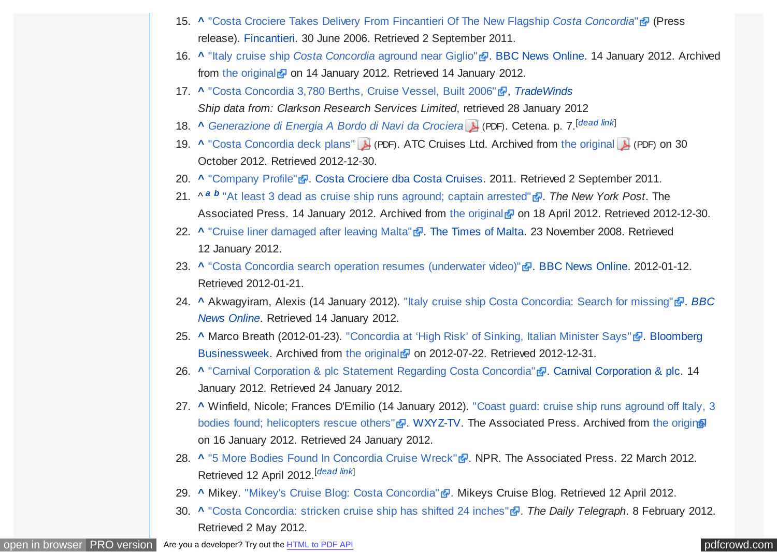- <span id="page-11-0"></span>15. **[^](#page-3-0)** ["Costa Crociere Takes Delivery From Fincantieri Of The New Flagship](http://www.fincantieri.it/cms/data/browse/news/000065.aspx) *Costa Concordia*" (Press release). [Fincantieri.](https://en.wikipedia.org/wiki/Fincantieri) 30 June 2006. Retrieved 2 September 2011.
- 16. **A** "Italy cruise ship *Costa Concordia* [aground near Giglio"](http://www.webcitation.org/64gKkECCf?url=http://www.bbc.co.uk/news/world-europe-16558910) **.** [BBC News Online.](https://en.wikipedia.org/wiki/BBC_News_Online) 14 January 2012. Archived from [the original](http://www.bbc.co.uk/news/world-europe-16558910)  $\bar{Q}$  on 14 January 2012. Retrieved 14 January 2012.
- 17. **[^](#page-3-0)** ["Costa Concordia 3,780 Berths, Cruise Vessel, Built 2006"](http://www.tradewindsnews.com/vessel?id=82C54167A64F8DE7) , [TradeWinds](https://en.wikipedia.org/wiki/TradeWinds_(newspaper)) *Ship data from: Clarkson Research Services Limited*, retrieved 28 January 2012
- 18. **[^](#page-3-0)** *[Generazione di Energia A Bordo di Navi da Crociera](http://diem.uniud.it/Conf_energia_navi_19-05-09.pdf)* (PDF). Cetena. p. 7.[*[dead link](https://en.wikipedia.org/wiki/Wikipedia:Link_rot)*]
- 19. **[^](#page-3-0)** ["Costa Concordia deck plans"](https://web.archive.org/web/20121030040433/http://www.atc.fi/old/decks/Costa_Concordia_deck_plans.pdf) (PDF). ATC Cruises Ltd. Archived from [the original](http://www.atc.fi/old/decks/Costa_Concordia_deck_plans.pdf) (PDF) on 30 October 2012. Retrieved 2012-12-30.
- 20. **[^](#page-4-0)** ["Company Profile"](http://www.costacruisesasia.com/B2C/PAO/Corporate/The+company/aboutourselves/aboutourselves.htm) . [Costa Crociere dba Costa Cruises.](https://en.wikipedia.org/wiki/Costa_Crociere) 2011. Retrieved 2 September 2011.
- 21. ^ *[a](#page-4-0) [b](#page-5-0)* ["At least 3 dead as cruise ship runs aground; captain arrested"](https://web.archive.org/web/20120418212843/http://www.nypost.com/p/news/international/three_coast_several_missing_after_Ztwzh4pOyI28VzooFByOnM/2) . *The New York Post*. The Associated Press. 14 January 2012. Archived from [the original](http://www.nypost.com/p/news/international/three_coast_several_missing_after_Ztwzh4pOyI28VzooFByOnM/2)  $\sigma$  on 18 April 2012. Retrieved 2012-12-30.
- 22. **[^](#page-5-0)** ["Cruise liner damaged after leaving Malta"](http://www.timesofmalta.com/articles/view/20081123/local/cruise-liner-damaged-after-leaving-malta.234247) . [The Times of Malta.](https://en.wikipedia.org/wiki/The_Times_(Malta)) 23 November 2008. Retrieved 12 January 2012.
- 23. **[^](#page-5-0)** ["Costa Concordia search operation resumes \(underwater video\)"](http://www.bbc.co.uk/news/world-europe-16660403) **.** [BBC News Online.](https://en.wikipedia.org/wiki/BBC_News_Online) 2012-01-12. Retrieved 2012-01-21.
- 24. **[^](#page-6-0)** [Akwagyiram, Alexis \(14 January 2012\). "Italy cruise ship Costa Concordia: Search for missing"](https://en.wikipedia.org/wiki/BBC_News_Online) . *BBC News Online*. Retrieved 14 January 2012.
- 25. **[^](#page-6-0)** [Marco Breath \(2012-01-23\). "Concordia at 'High Risk' of Sinking, Italian Minister Says"](https://en.wikipedia.org/wiki/Bloomberg_Businessweek) . Bloomberg Businessweek. Archived from [the original](http://www.businessweek.com/news/2012-01-19/concordia-at-high-risk-of-sinking-italian-minister-says.html)  $\bullet$  on 2012-07-22. Retrieved 2012-12-31.
- 26. **[^](#page-6-0)** ["Carnival Corporation & plc Statement Regarding Costa Concordia"](http://phx.corporate-ir.net/phoenix.zhtml?c=200767&p=irol-newsArticle&ID=1648204) . [Carnival Corporation & plc.](https://en.wikipedia.org/wiki/Carnival_Corporation_%26_plc) 14 January 2012. Retrieved 24 January 2012.
- 27. **[^](#page-6-0)** [Winfield, Nicole; Frances D'Emilio \(14 January 2012\). "Coast guard: cruise ship runs aground off Italy, 3](https://web.archive.org/web/20120116220935/http://www.wxyz.com/dpp/homepage_showcase/coast-guard-cruise-ship-runs-aground-off-italy-3-bodies-found-helicopters-rescue-others) bodies found; helicopters rescue others" . [WXYZ-TV.](https://en.wikipedia.org/wiki/WXYZ-TV) The Associated Press. Archived from [the original](http://www.wxyz.com/dpp/homepage_showcase/coast-guard-cruise-ship-runs-aground-off-italy-3-bodies-found-helicopters-rescue-others) on 16 January 2012. Retrieved 24 January 2012.
- 28. **[^](#page-6-0)** ["5 More Bodies Found In Concordia Cruise Wreck"](http://www.npr.org/templates/story/story.php?storyId=149153108rg/templates/story/story.php?storyId=149153108) . NPR. The Associated Press. 22 March 2012. Retrieved 12 April 2012. [*[dead link](https://en.wikipedia.org/wiki/Wikipedia:Link_rot)*]
- 29. [^](#page-6-0) Mikey. ["Mikey's Cruise Blog: Costa Concordia"](http://mikeyscruiseblog.com/costa-concordia/) . Mikeys Cruise Blog. Retrieved 12 April 2012.
- 30. **[^](#page-6-0)** ["Costa Concordia: stricken cruise ship has shifted 24 inches"](http://www.telegraph.co.uk/news/worldnews/europe/italy/9069093/Costa-Concordia-stricken-cruise-ship-has-shifted-24-inches.html) . *The Daily Telegraph*. 8 February 2012. Retrieved 2 May 2012.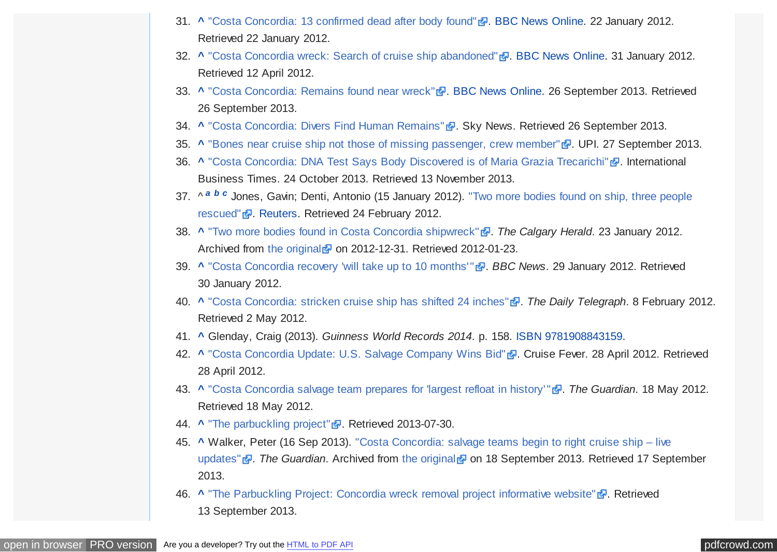- <span id="page-12-0"></span>31. **[^](#page-6-0)** ["Costa Concordia: 13 confirmed dead after body found"](http://www.bbc.co.uk/news/world-europe-16672216) . [BBC News Online.](https://en.wikipedia.org/wiki/BBC_News_Online) 22 January 2012. Retrieved 22 January 2012.
- 32. **[^](#page-6-0)** ["Costa Concordia wreck: Search of cruise ship abandoned"](http://www.bbc.co.uk/news/world-europe-16812784) **.** [BBC News Online.](https://en.wikipedia.org/wiki/BBC_News_Online) 31 January 2012. Retrieved 12 April 2012.
- 33. **[^](#page-6-0)** ["Costa Concordia: Remains found near wreck"](http://www.bbc.co.uk/news/world-europe-24286183) **.** [BBC News Online.](https://en.wikipedia.org/wiki/BBC_News_Online) 26 September 2013. Retrieved 26 September 2013.
- 34. **[^](#page-7-0)** ["Costa Concordia: Divers Find Human Remains"](http://news.sky.com/story/1146811/costa-concordia-divers-find-human-remains) **...** Sky News. Retrieved 26 September 2013.
- 35. **[^](#page-7-0)** ["Bones near cruise ship not those of missing passenger, crew member"](http://www.upi.com/Top_News/World-News/2013/09/27/Bones-near-cruise-ship-not-those-of-missing-passenger-crew-member/UPI-33581380300436/) **.** UPI. 27 September 2013.
- 36. **[^](#page-7-0)** ["Costa Concordia: DNA Test Says Body Discovered is of Maria Grazia Trecarichi"](http://www.ibtimes.co.uk/articles/516660/20131024/costa-concordia-missing-victim-maria-grazia-trecarichi.htm) **.** International Business Times. 24 October 2013. Retrieved 13 November 2013.
- 37. ^ *[a](#page-7-0) [b](#page-7-0) [c](#page-7-0)* [Jones, Gavin; Denti, Antonio \(15 January 2012\). "Two more bodies found on ship, three people](https://www.reuters.com/article/2012/01/15/us-italy-ship-idUSTRE80D08220120115) rescued" **&**. [Reuters.](https://en.wikipedia.org/wiki/Reuters) Retrieved 24 February 2012.
- 38. **[^](#page-7-0)** ["Two more bodies found in Costa Concordia shipwreck"](http://www.recentnews.ca/two-more-bodies-found-in-costa-concordia-shipwreck/) . *The Calgary Herald*. 23 January 2012. Archived from [the original](http://www.calgaryherald.com/news/more+bodies+found+Costa+Concordia+shipwreck/6037951/story.html)  $\frac{1}{2}$  on 2012-12-31. Retrieved 2012-01-23.
- 39. **[^](#page-7-0)** ["Costa Concordia recovery 'will take up to 10 months'"](http://www.bbc.co.uk/news/world-europe-16782481) . *BBC News*. 29 January 2012. Retrieved 30 January 2012.
- 40. **[^](#page-7-0)** ["Costa Concordia: stricken cruise ship has shifted 24 inches"](http://www.telegraph.co.uk/news/worldnews/europe/italy/9069093/Costa-Concordia-stricken-cruise-ship-has-shifted-24-inches.html) . *The Daily Telegraph*. 8 February 2012. Retrieved 2 May 2012.
- 41. **[^](#page-8-0)** Glenday, Craig (2013). *Guinness World Records 2014*. p. 158. [ISBN](https://en.wikipedia.org/wiki/International_Standard_Book_Number) [9781908843159.](https://en.wikipedia.org/wiki/Special:BookSources/9781908843159)
- 42. **[^](#page-8-0)** ["Costa Concordia Update: U.S. Salvage Company Wins Bid"](http://cruisefever.net/0428-costa-concordia-to-be-floated-to-a-port-in-italy/) . Cruise Fever. 28 April 2012. Retrieved 28 April 2012.
- 43. **[^](#page-8-0)** ["Costa Concordia salvage team prepares for 'largest refloat in history'"](https://www.theguardian.com/world/2012/may/18/costa-concordia-salvage-team-refloat) . *The Guardian*. 18 May 2012. Retrieved 18 May 2012.
- 44. **[^](#page-8-0)** ["The parbuckling project"](http://www.theparbucklingproject.com/) **.** Retrieved 2013-07-30.
- 45. **[^](#page-8-0)** [Walker, Peter \(16 Sep 2013\). "Costa Concordia: salvage teams begin to right cruise ship live](http://www.webcitation.org/query?url=http%3A%2F%2Fwww.theguardian.com%2Fglobal%2F2013%2Fsep%2F16%2Fconcordia-salvage-operation-giglio-parbuckling-live-updates&date=2013-09-18) updates" *P*. The Guardian. Archived from [the original](https://www.theguardian.com/global/2013/sep/16/concordia-salvage-operation-giglio-parbuckling-live-updates) **P** on 18 September 2013. Retrieved 17 September 2013.
- 46. **A** ["The Parbuckling Project: Concordia wreck removal project informative website"](http://www.theparbucklingproject.com/page.php?page=progetto) **.** Retrieved 13 September 2013.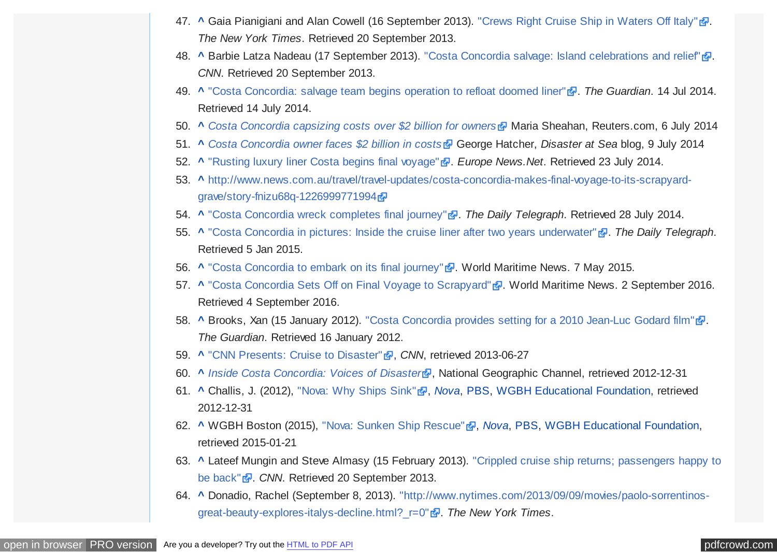- <span id="page-13-0"></span>47. **[^](#page-8-0)** Gaia Pianigiani and Alan Cowell (16 September 2013). ["Crews Right Cruise Ship in Waters Off Italy"](https://www.nytimes.com/2013/09/17/world/europe/operation-to-raise-costa-concordia-cruise-liner-in-italy.html) ... *The New York Times*. Retrieved 20 September 2013.
- 48. **[^](#page-8-0)** Barbie Latza Nadeau (17 September 2013). ["Costa Concordia salvage: Island celebrations and relief"](http://www.cnn.com/2013/09/17/world/europe/costa-concordia/?hpt=tr_c2) ... *CNN*. Retrieved 20 September 2013.
- 49. **[^](#page-8-0)** ["Costa Concordia: salvage team begins operation to refloat doomed liner"](https://www.theguardian.com/world/2014/jul/14/costa-concordia-salvage-operation-refloat-liner) . *The Guardian*. 14 Jul 2014. Retrieved 14 July 2014.
- 50. **[^](#page-8-0)** *[Costa Concordia capsizing costs over \\$2 billion for owners](https://www.reuters.com/article/2014/07/06/italy-concordia-costs-idUSL6N0PH0EO20140706)* Maria Sheahan, Reuters.com, 6 July 2014
- 51. **[^](#page-8-0)** *[Costa Concordia owner faces \\$2 billion in costs](http://disasteratsea.com/index.php/costa-concordia-owner-faces-2-billion-in-costs/)* George Hatcher, *Disaster at Sea* blog, 9 July 2014
- 52. **[^](#page-8-0)** ["Rusting luxury liner Costa begins final voyage"](http://www.europenews.net/index.php/sid/224057463/scat/88176adfdf246af5/ht/Rusting-luxury-liner-Costa-begins-final-voyage) . *Europe News.Net*. Retrieved 23 July 2014.
- 53. **[^](#page-8-0)** [http://www.news.com.au/travel/travel-updates/costa-concordia-makes-final-voyage-to-its-scrapyard](http://www.news.com.au/travel/travel-updates/costa-concordia-makes-final-voyage-to-its-scrapyard-grave/story-fnizu68q-1226999771994)grave/story-fnizu68q-1226999771994d
- 54. **[^](#page-8-0)** ["Costa Concordia wreck completes final journey"](http://www.telegraph.co.uk/news/worldnews/europe/italy/10994004/Costa-Concordia-comes-home-to-die.html) . *The Daily Telegraph*. Retrieved 28 July 2014.
- 55. **[^](#page-8-0)** ["Costa Concordia in pictures: Inside the cruise liner after two years underwater"](http://www.telegraph.co.uk/news/picturegalleries/worldnews/10985345/Costa-Concordia-in-pictures-Inside-the-cruise-liner-after-two-years-underwater.html) . *The Daily Telegraph*. Retrieved 5 Jan 2015.
- 56. **[^](#page-9-0)** ["Costa Concordia to embark on its final journey"](http://worldmaritimenews.com/archives/160283/costa-concordia-to-embark-on-its-final-journey/) **.** World Maritime News. 7 May 2015.
- 57. **[^](#page-9-0)** ["Costa Concordia Sets Off on Final Voyage to Scrapyard"](http://worldmaritimenews.com/archives/201091/costa-concordia-sets-off-on-final-voyage-to-scrapyard/) . World Maritime News. 2 September 2016. Retrieved 4 September 2016.
- 58. **[^](#page-9-0)** Brooks, Xan (15 January 2012). ["Costa Concordia provides setting for a 2010 Jean-Luc Godard film"](https://www.theguardian.com/world/2012/jan/15/costa-concordia-jean-luc-godard) ... *The Guardian*. Retrieved 16 January 2012.
- 59. **[^](#page-9-0)** ["CNN Presents: Cruise to Disaster"](http://transcripts.cnn.com/TRANSCRIPTS/1207/14/cp.01.html) **&**, CNN, retrieved 2013-06-27
- 60. **A [Inside Costa Concordia: Voices of Disaster](http://natgeotv.com/asia/inside-costa-concordia-voices-of-disaster)ry, National Geographic Channel, retrieved 2012-12-31**
- 61. **[^](#page-9-0)** Challis, J. (2012), ["Nova: Why Ships Sink"](http://www.pbs.org/wgbh/nova/tech/why-ships-sink.html) , *[Nova](https://en.wikipedia.org/wiki/Nova_(TV_series))*, [PBS,](https://en.wikipedia.org/wiki/PBS) [WGBH Educational Foundation,](https://en.wikipedia.org/wiki/WGBH-TV) retrieved 2012-12-31
- 62. **[^](#page-9-0)** WGBH Boston (2015), ["Nova: Sunken Ship Rescue"](http://www.pbs.org/wgbh/nova/tech/sunken-ship-rescue.html) , *[Nova](https://en.wikipedia.org/wiki/Nova_(TV_series))*, [PBS,](https://en.wikipedia.org/wiki/PBS) [WGBH Educational Foundation,](https://en.wikipedia.org/wiki/WGBH-TV) retrieved 2015-01-21
- 63. **[^](#page-9-0)** [Lateef Mungin and Steve Almasy \(15 February 2013\). "Crippled cruise ship returns; passengers happy to](http://www.cnn.com/2013/02/14/travel/cruise-ship-fire/index.html) be back" **.** *CNN*. Retrieved 20 September 2013.
- 64. **[^](#page-9-0)** [Donadio, Rachel \(September 8, 2013\). "http://www.nytimes.com/2013/09/09/movies/paolo-sorrentinos](https://www.nytimes.com/2013/09/09/movies/paolo-sorrentinos-great-beauty-explores-italys-decline.html?_r=0)great-beauty-explores-italys-decline.html?\_r=0" . *The New York Times*.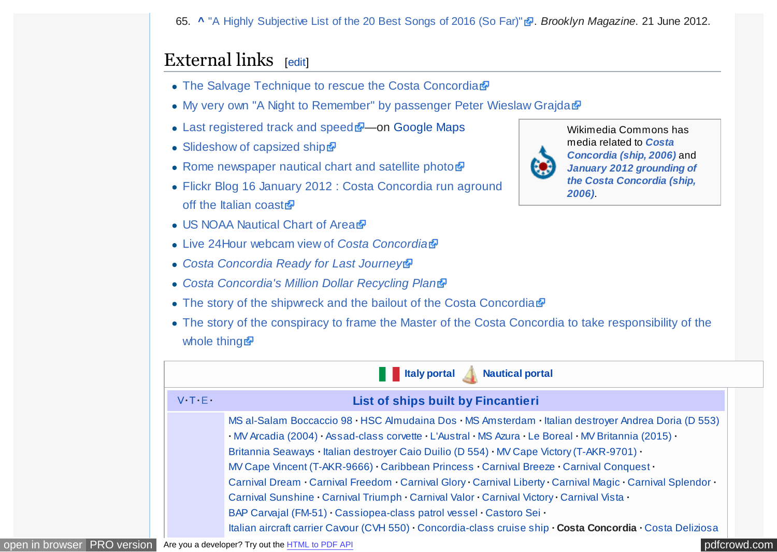65. **[^](#page-9-0)** ["A Highly Subjective List of the 20 Best Songs of 2016 \(So Far\)"](http://www.bkmag.com/2016/06/21/20-best-songs-of-2016-so-far/?singlepage=1) . *Brooklyn Magazine*. 21 June 2012.

## <span id="page-14-0"></span>External links  $[edit]$  $[edit]$

- [The Salvage Technique to rescue the Costa Concordia](https://web.archive.org/web/20150709070321/http://www.italiantrivelle.com/it-blog/equipment-engineering/air-powered-drilling-machine-to-drill-under-water-598.html)
- [My very own "A Night to Remember" by passenger Peter Wieslaw Grajda](http://stefanbatoryoceanliner.weebly.com/Costa-Concordia-Disaster.html)d
- [Last registered track and speed](http://www.marinetraffic.com/ais/it/default.aspx?zoom=9&oldmmsi=247158500&olddate=1/13/2012%209:02:00%20PM)  $\sqrt{a^2}$  on [Google Maps](https://en.wikipedia.org/wiki/Google_Maps)
- [Slideshow of capsized ship](http://www.bbc.co.uk/news/world-europe-16560050)
- [Rome newspaper nautical chart and satellite photo](http://firenze.repubblica.it/cronaca/2012/01/14/foto/le_scole_ecco_gli_scogli_sulle_carte_nautiche-28110610/1/)r
- [Flickr Blog 16 January 2012 : Costa Concordia run aground](http://blog.flickr.net/en/2012/01/16/costa-concordia-run-aground-off-the-italian-coast/) off the Italian coast
- [US NOAA Nautical Chart of Area](http://www.charts.noaa.gov/NGAViewer/53135.shtml)
- [Live 24Hour webcam view of](http://www.costaconcordiawebcams.com/) *Costa Concordia*
- *[Costa Concordia Ready for Last Journey](http://www.maritime-executive.com/article/costa-concordia-ready-for-last-journey)*
- *[Costa Concordia's Million Dollar Recycling Plan](http://www.maritime-executive.com/article/costa-concordias-million-dollar-recycling-plan)*
- [The story of the shipwreck and the bailout of the Costa Concordia](http://www.lecostaconcordia.com/)
- [The story of the conspiracy to frame the Master of the Costa Concordia to take responsibility of the](http://www.heiwaco.com/news8.htm) whole thing

|                           | <b>The Internal</b><br><b>Nautical portal</b>                                                                                                                                                                                                                                                                                                                                                                                                                                                                                                                                                                                                                                                                                                                                                  |  |
|---------------------------|------------------------------------------------------------------------------------------------------------------------------------------------------------------------------------------------------------------------------------------------------------------------------------------------------------------------------------------------------------------------------------------------------------------------------------------------------------------------------------------------------------------------------------------------------------------------------------------------------------------------------------------------------------------------------------------------------------------------------------------------------------------------------------------------|--|
| $V \cdot T \cdot E \cdot$ | List of ships built by Fincantieri                                                                                                                                                                                                                                                                                                                                                                                                                                                                                                                                                                                                                                                                                                                                                             |  |
|                           | MS al-Salam Boccaccio 98 · HSC Almudaina Dos · MS Amsterdam · Italian destroyer Andrea Doria (D 553)<br>· MV Arcadia (2004) · Assad-class corvette · L'Austral · MS Azura · Le Boreal · MV Britannia (2015) ·<br>Britannia Seaways · Italian destroyer Caio Duilio (D 554) · MV Cape Victory (T-AKR-9701) ·<br>MV Cape Vincent (T-AKR-9666) · Caribbean Princess · Carnival Breeze · Carnival Conquest ·<br>Carnival Dream · Carnival Freedom · Carnival Glory · Carnival Liberty · Carnival Magic · Carnival Splendor ·<br>Carnival Sunshine Carnival Triumph Carnival Valor Carnival Victory Carnival Vista<br>BAP Carvaial (FM-51) Cassiopea-class patrol vessel Castoro Sei<br>Italian aircraft carrier Cavour (CVH 550) · Concordia-class cruise ship · Costa Concordia · Costa Deliziosa |  |



Wikimedia Commons has media related to *Costa [Concordia \(ship, 2006\)](https://commons.wikimedia.org/wiki/Category:Costa_Concordia_(ship,_2006))* and *[January 2012 grounding of](https://commons.wikimedia.org/wiki/Category:January_2012_grounding_of_the_Costa_Concordia_(ship,_2006)) the Costa Concordia (ship, 2006)*.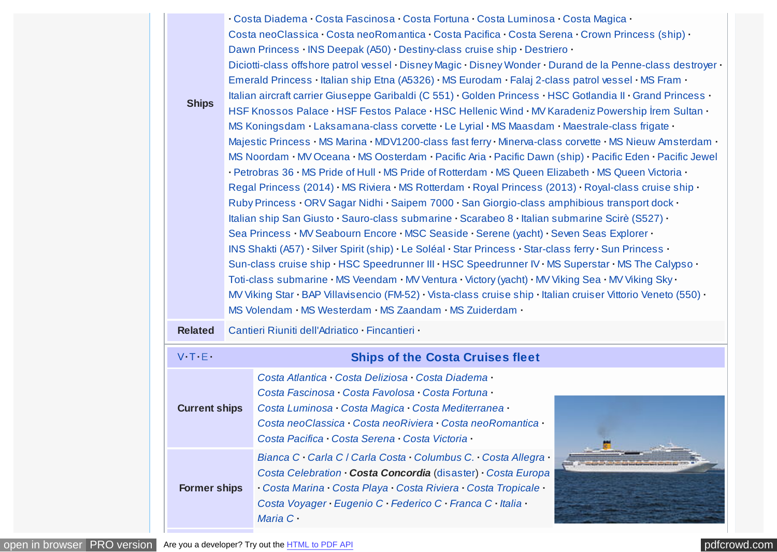| <b>Ships</b>              | · Costa Diadema · Costa Fascinosa · Costa Fortuna · Costa Luminosa · Costa Magica ·<br>Costa neoClassica · Costa neoRomantica · Costa Pacifica · Costa Serena · Crown Princess (ship) ·<br>Dawn Princess · INS Deepak (A50) · Destiny-class cruise ship · Destriero ·<br>Diciotti-class offshore patrol vessel · Disney Magic · Disney Wonder · Durand de la Penne-class destroyer ·<br>Emerald Princess · Italian ship Etna (A5326) · MS Eurodam · Falaj 2-class patrol vessel · MS Fram ·<br>Italian aircraft carrier Giuseppe Garibaldi (C 551) · Golden Princess · HSC Gotlandia II · Grand Princess ·<br>HSF Knossos Palace · HSF Festos Palace · HSC Hellenic Wind · MV Karadeniz Powership İrem Sultan ·<br>MS Koningsdam · Laksamana-class corvette · Le Lyrial · MS Maasdam · Maestrale-class frigate ·<br>Majestic Princess · MS Marina · MDV1200-class fast ferry · Minerva-class corvette · MS Nieuw Amsterdam ·<br>MS Noordam · MV Oceana · MS Oosterdam · Pacific Aria · Pacific Dawn (ship) · Pacific Eden · Pacific Jewel<br>· Petrobras 36 · MS Pride of Hull · MS Pride of Rotterdam · MS Queen Elizabeth · MS Queen Victoria ·<br>Regal Princess (2014) · MS Riviera · MS Rotterdam · Royal Princess (2013) · Royal-class cruise ship ·<br>Ruby Princess · ORV Sagar Nidhi · Saipem 7000 · San Giorgio-class amphibious transport dock ·<br>Italian ship San Giusto · Sauro-class submarine · Scarabeo 8 · Italian submarine Scirè (S527) ·<br>Sea Princess · MV Seabourn Encore · MSC Seaside · Serene (yacht) · Seven Seas Explorer ·<br>INS Shakti (A57) · Silver Spirit (ship) · Le Soléal · Star Princess · Star-class ferry · Sun Princess ·<br>Sun-class cruise ship · HSC Speedrunner III · HSC Speedrunner IV · MS Superstar · MS The Calypso ·<br>Toti-class submarine · MS Veendam · MV Ventura · Victory (yacht) · MV Viking Sea · MV Viking Sky ·<br>MV Viking Star · BAP Villavisencio (FM-52) · Vista-class cruise ship · Italian cruiser Vittorio Veneto (550) ·<br>MS Volendam · MS Westerdam · MS Zaandam · MS Zuiderdam · |  |
|---------------------------|-----------------------------------------------------------------------------------------------------------------------------------------------------------------------------------------------------------------------------------------------------------------------------------------------------------------------------------------------------------------------------------------------------------------------------------------------------------------------------------------------------------------------------------------------------------------------------------------------------------------------------------------------------------------------------------------------------------------------------------------------------------------------------------------------------------------------------------------------------------------------------------------------------------------------------------------------------------------------------------------------------------------------------------------------------------------------------------------------------------------------------------------------------------------------------------------------------------------------------------------------------------------------------------------------------------------------------------------------------------------------------------------------------------------------------------------------------------------------------------------------------------------------------------------------------------------------------------------------------------------------------------------------------------------------------------------------------------------------------------------------------------------------------------------------------------------------------------------------------------------------------------------------------------------------------------------------------------------------------------------------------------------------------------------------------------------|--|
| <b>Related</b>            | Cantieri Riuniti dell'Adriatico · Fincantieri ·                                                                                                                                                                                                                                                                                                                                                                                                                                                                                                                                                                                                                                                                                                                                                                                                                                                                                                                                                                                                                                                                                                                                                                                                                                                                                                                                                                                                                                                                                                                                                                                                                                                                                                                                                                                                                                                                                                                                                                                                                 |  |
| $V \cdot T \cdot E \cdot$ | <b>Ships of the Costa Cruises fleet</b>                                                                                                                                                                                                                                                                                                                                                                                                                                                                                                                                                                                                                                                                                                                                                                                                                                                                                                                                                                                                                                                                                                                                                                                                                                                                                                                                                                                                                                                                                                                                                                                                                                                                                                                                                                                                                                                                                                                                                                                                                         |  |
| <b>Current ships</b>      | Costa Atlantica · Costa Deliziosa · Costa Diadema ·<br>Costa Fascinosa · Costa Favolosa · Costa Fortuna ·<br>Costa Luminosa · Costa Magica · Costa Mediterranea ·<br>Costa neoClassica · Costa neoRiviera · Costa neoRomantica ·<br>Costa Pacifica · Costa Serena · Costa Victoria ·                                                                                                                                                                                                                                                                                                                                                                                                                                                                                                                                                                                                                                                                                                                                                                                                                                                                                                                                                                                                                                                                                                                                                                                                                                                                                                                                                                                                                                                                                                                                                                                                                                                                                                                                                                            |  |
| <b>Former ships</b>       | Bianca C · Carla C / Carla Costa · Columbus C. · Costa Allegra ·<br>Costa Celebration · Costa Concordia (disaster) · Costa Europa<br>· Costa Marina · Costa Playa · Costa Riviera · Costa Tropicale ·<br>Costa Voyager · Eugenio C · Federico C · Franca C · Italia ·                                                                                                                                                                                                                                                                                                                                                                                                                                                                                                                                                                                                                                                                                                                                                                                                                                                                                                                                                                                                                                                                                                                                                                                                                                                                                                                                                                                                                                                                                                                                                                                                                                                                                                                                                                                           |  |